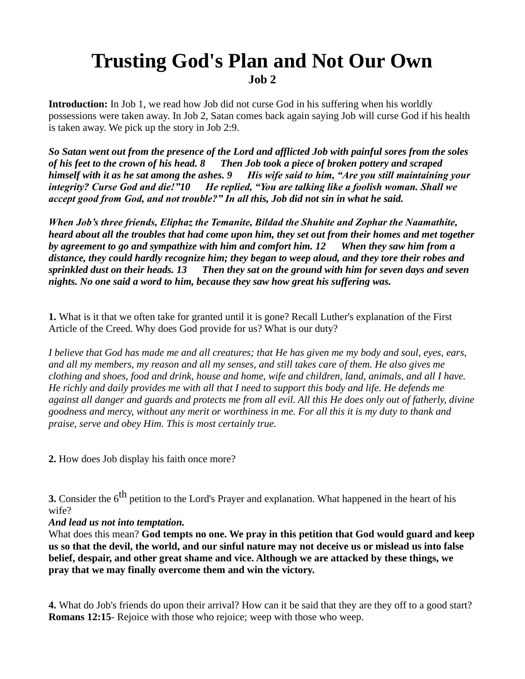## **Trusting God's Plan and Not Our Own**

**Job 2**

**Introduction:** In Job 1, we read how Job did not curse God in his suffering when his worldly possessions were taken away. In Job 2, Satan comes back again saying Job will curse God if his health is taken away. We pick up the story in Job 2:9.

*So Satan went out from the presence of the Lord and afflicted Job with painful sores from the soles of his feet to the crown of his head. 8 Then Job took a piece of broken pottery and scraped himself with it as he sat among the ashes. 9 His wife said to him, "Are you still maintaining your integrity? Curse God and die!"10 He replied, "You are talking like a foolish woman. Shall we accept good from God, and not trouble?" In all this, Job did not sin in what he said.*

*When Job's three friends, Eliphaz the Temanite, Bildad the Shuhite and Zophar the Naamathite, heard about all the troubles that had come upon him, they set out from their homes and met together by agreement to go and sympathize with him and comfort him. 12 When they saw him from a distance, they could hardly recognize him; they began to weep aloud, and they tore their robes and sprinkled dust on their heads. 13 Then they sat on the ground with him for seven days and seven nights. No one said a word to him, because they saw how great his suffering was.*

**1.** What is it that we often take for granted until it is gone? Recall Luther's explanation of the First Article of the Creed. Why does God provide for us? What is our duty?

*I believe that God has made me and all creatures; that He has given me my body and soul, eyes, ears, and all my members, my reason and all my senses, and still takes care of them. He also gives me clothing and shoes, food and drink, house and home, wife and children, land, animals, and all I have. He richly and daily provides me with all that I need to support this body and life. He defends me against all danger and guards and protects me from all evil. All this He does only out of fatherly, divine goodness and mercy, without any merit or worthiness in me. For all this it is my duty to thank and praise, serve and obey Him. This is most certainly true.* 

**2.** How does Job display his faith once more?

**3.** Consider the 6<sup>th</sup> petition to the Lord's Prayer and explanation. What happened in the heart of his wife?

*And lead us not into temptation.*

What does this mean? **God tempts no one. We pray in this petition that God would guard and keep us so that the devil, the world, and our sinful nature may not deceive us or mislead us into false belief, despair, and other great shame and vice. Although we are attacked by these things, we pray that we may finally overcome them and win the victory.**

**4.** What do Job's friends do upon their arrival? How can it be said that they are they off to a good start? **Romans 12:15**- Rejoice with those who rejoice; weep with those who weep.